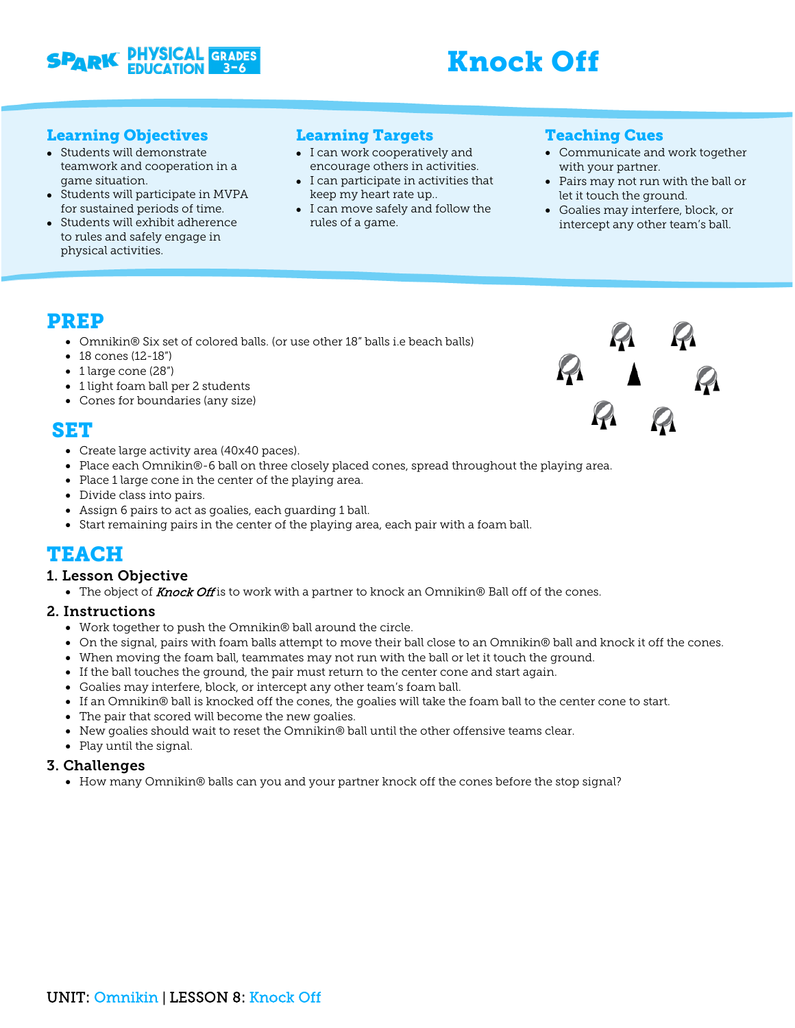

# Knock Off

#### Learning Objectives

- Students will demonstrate teamwork and cooperation in a game situation.
- Students will participate in MVPA for sustained periods of time.
- Students will exhibit adherence to rules and safely engage in physical activities.

#### Learning Targets

- I can work cooperatively and encourage others in activities.
- I can participate in activities that keep my heart rate up..
- I can move safely and follow the rules of a game.

#### Teaching Cues

- Communicate and work together with your partner.
- Pairs may not run with the ball or let it touch the ground.
- Goalies may interfere, block, or intercept any other team's ball.

### PREP

- Omnikin® Six set of colored balls. (or use other 18" balls i.e beach balls)
- 18 cones (12-18")
- 1 large cone (28")
- 1 light foam ball per 2 students
- Cones for boundaries (any size)

## SET

- Create large activity area (40x40 paces).
- Place each Omnikin®-6 ball on three closely placed cones, spread throughout the playing area.
- Place 1 large cone in the center of the playing area.
- Divide class into pairs.
- Assign 6 pairs to act as goalies, each guarding 1 ball.
- Start remaining pairs in the center of the playing area, each pair with a foam ball.

### TEACH

#### 1. Lesson Objective

 $\bullet$  The object of Knock Off is to work with a partner to knock an Omnikin® Ball off of the cones.

#### 2. Instructions

- Work together to push the Omnikin® ball around the circle.
- On the signal, pairs with foam balls attempt to move their ball close to an Omnikin® ball and knock it off the cones.
- When moving the foam ball, teammates may not run with the ball or let it touch the ground.
- If the ball touches the ground, the pair must return to the center cone and start again.
- Goalies may interfere, block, or intercept any other team's foam ball.
- If an Omnikin® ball is knocked off the cones, the goalies will take the foam ball to the center cone to start.
- The pair that scored will become the new goalies.
- New goalies should wait to reset the Omnikin® ball until the other offensive teams clear.
- Play until the signal.

#### 3. Challenges

• How many Omnikin® balls can you and your partner knock off the cones before the stop signal?